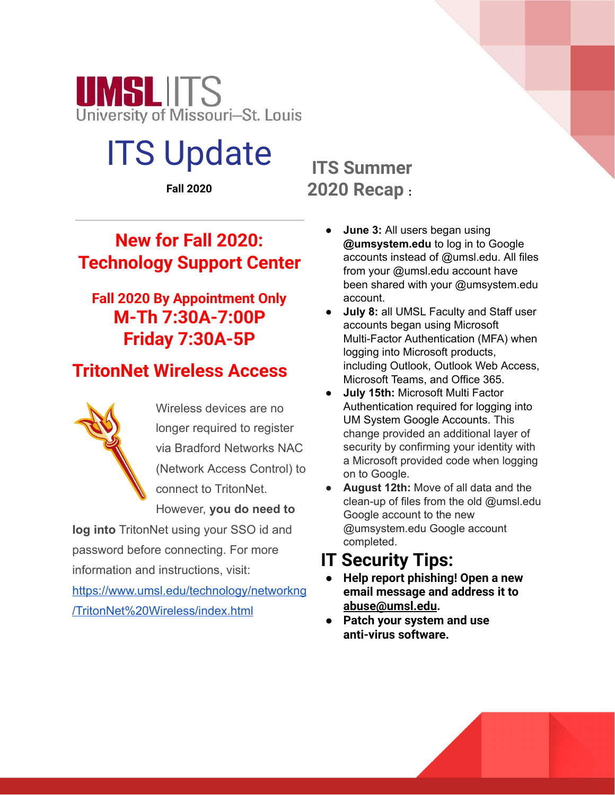

# **ITS Update**

**Fall 2020** 

## **New for Fall 2020: Technology Support Center**

## **Fall 2020 By Appointment Only M-Th 7:30A-7:00P Friday 7:30A-5P**

## **TritonNet Wireless Access**



Wireless devices are no longer required to register via Bradford Networks NAC (Network Access Control) to connect to TritonNet.

However, **you do need to** 

**log into** TritonNet using your SSO id and password before connecting. For more information and instructions, visit:

[https://www.umsl.edu/technology/networkng](https://www.umsl.edu/technology/networking/TritonNet%20Wireless/index.html) [/TritonNet%20Wireless/index.html](https://www.umsl.edu/technology/networking/TritonNet%20Wireless/index.html)

## **ITS Summer 2020 Recap :**

- **June 3:** All users began using **@umsystem.edu** to log in to Google accounts instead of @umsl.edu. All files from your @umsl.edu account have been shared with your @umsystem.edu account.
- **July 8:** all UMSL Faculty and Staff user accounts began using Microsoft Multi-Factor Authentication (MFA) when logging into Microsoft products, including Outlook, Outlook Web Access, Microsoft Teams, and Office 365.
- **July 15th:** Microsoft Multi Factor Authentication required for logging into UM System Google Accounts. This change provided an additional layer of security by confirming your identity with a Microsoft provided code when logging on to Google.
- **August 12th:** Move of all data and the clean-up of files from the old @umsl.edu Google account to the new @umsystem.edu Google account completed.

## **IT Security Tips:**

- **● Help report phishing! Open a new email message and address it to abuse@umsl.edu .**
- **● Patch your system and use anti-virus software.**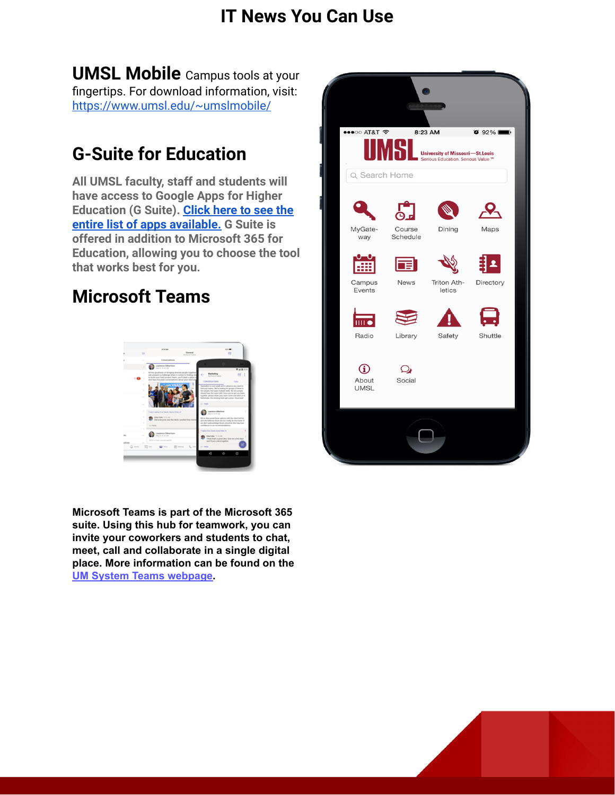## **IT News You Can Use**

**UMSL Mobile** Campus tools at your fingertips. For download information, visit: <https://www.umsl.edu/~umslmobile/>

## **G-Suite for Education**

**All UMSL faculty, staff and students will have access to Google Apps for Higher Education (G Suite)[. Click here to see the](https://www.umsystem.edu/ums/is/g-suite-apps-and-services)  [entire list of apps available.](https://www.umsystem.edu/ums/is/g-suite-apps-and-services) G Suite is offered in addition to Microsoft 365 for Education, allowing you to choose the tool that works best for you.** 

## **Microsoft Teams**



**Microsoft Teams is part of the Microsoft 365 suite. Using this hub for teamwork, you can invite your coworkers and students to chat, meet, call and collaborate in a single digital place. More information can be found on the [UM System Teams webpage .](https://www.umsystem.edu/ums/is/teams)**